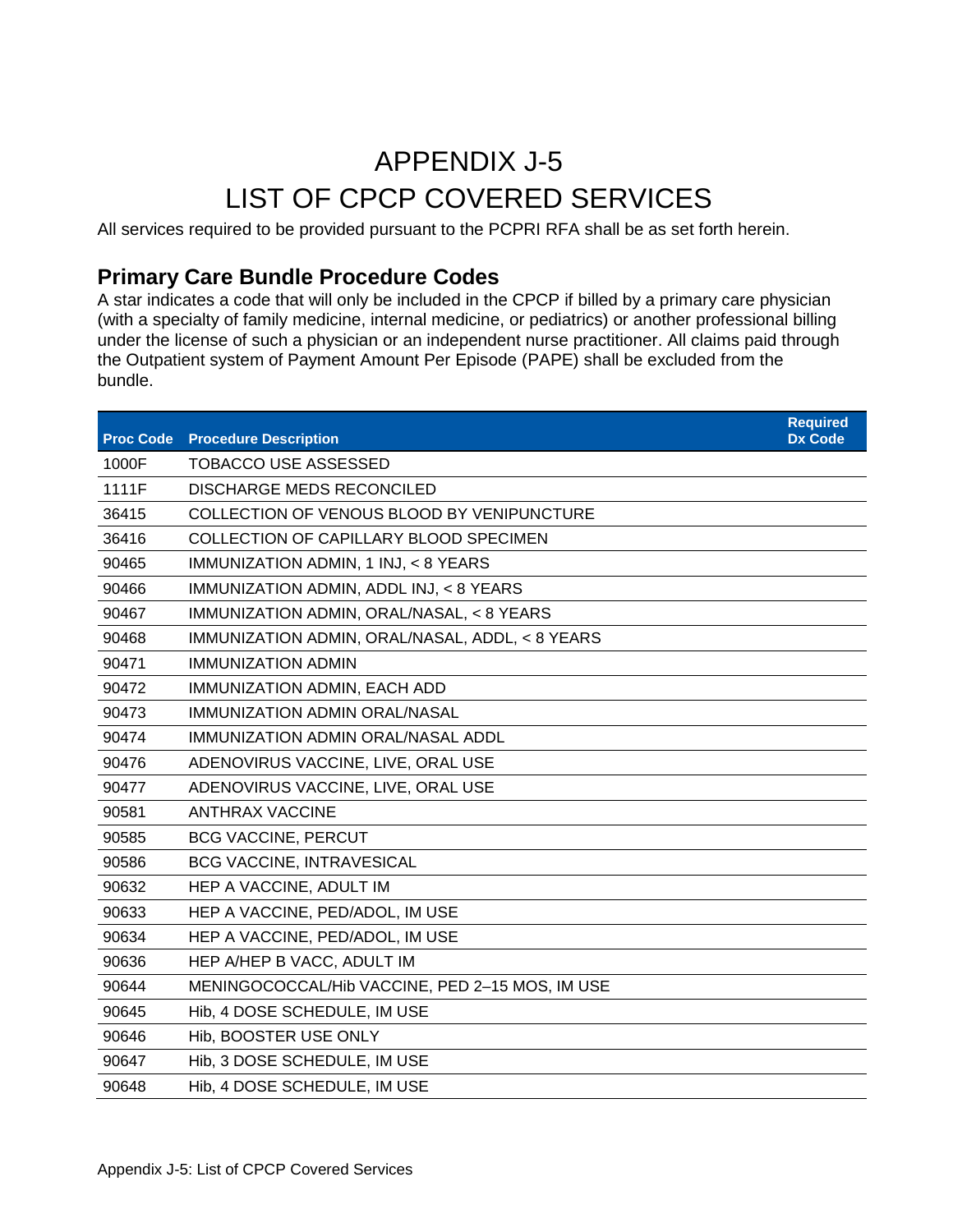# APPENDIX J-5 LIST OF CPCP COVERED SERVICES

All services required to be provided pursuant to the PCPRI RFA shall be as set forth herein.

## **Primary Care Bundle Procedure Codes**

A star indicates a code that will only be included in the CPCP if billed by a primary care physician (with a specialty of family medicine, internal medicine, or pediatrics) or another professional billing under the license of such a physician or an independent nurse practitioner. All claims paid through the Outpatient system of Payment Amount Per Episode (PAPE) shall be excluded from the bundle.

| <b>Proc Code</b> | <b>Procedure Description</b>                    | <b>Required</b><br><b>Dx Code</b> |
|------------------|-------------------------------------------------|-----------------------------------|
| 1000F            | TOBACCO USE ASSESSED                            |                                   |
| 1111F            | <b>DISCHARGE MEDS RECONCILED</b>                |                                   |
| 36415            | COLLECTION OF VENOUS BLOOD BY VENIPUNCTURE      |                                   |
| 36416            | COLLECTION OF CAPILLARY BLOOD SPECIMEN          |                                   |
| 90465            | IMMUNIZATION ADMIN, 1 INJ, < 8 YEARS            |                                   |
| 90466            | IMMUNIZATION ADMIN, ADDL INJ, < 8 YEARS         |                                   |
| 90467            | IMMUNIZATION ADMIN, ORAL/NASAL, < 8 YEARS       |                                   |
| 90468            | IMMUNIZATION ADMIN, ORAL/NASAL, ADDL, < 8 YEARS |                                   |
| 90471            | <b>IMMUNIZATION ADMIN</b>                       |                                   |
| 90472            | IMMUNIZATION ADMIN, EACH ADD                    |                                   |
| 90473            | <b>IMMUNIZATION ADMIN ORAL/NASAL</b>            |                                   |
| 90474            | IMMUNIZATION ADMIN ORAL/NASAL ADDL              |                                   |
| 90476            | ADENOVIRUS VACCINE, LIVE, ORAL USE              |                                   |
| 90477            | ADENOVIRUS VACCINE, LIVE, ORAL USE              |                                   |
| 90581            | <b>ANTHRAX VACCINE</b>                          |                                   |
| 90585            | <b>BCG VACCINE, PERCUT</b>                      |                                   |
| 90586            | <b>BCG VACCINE, INTRAVESICAL</b>                |                                   |
| 90632            | HEP A VACCINE, ADULT IM                         |                                   |
| 90633            | HEP A VACCINE, PED/ADOL, IM USE                 |                                   |
| 90634            | HEP A VACCINE, PED/ADOL, IM USE                 |                                   |
| 90636            | HEP A/HEP B VACC, ADULT IM                      |                                   |
| 90644            | MENINGOCOCCAL/Hib VACCINE, PED 2-15 MOS, IM USE |                                   |
| 90645            | Hib, 4 DOSE SCHEDULE, IM USE                    |                                   |
| 90646            | Hib, BOOSTER USE ONLY                           |                                   |
| 90647            | Hib, 3 DOSE SCHEDULE, IM USE                    |                                   |
| 90648            | Hib, 4 DOSE SCHEDULE, IM USE                    |                                   |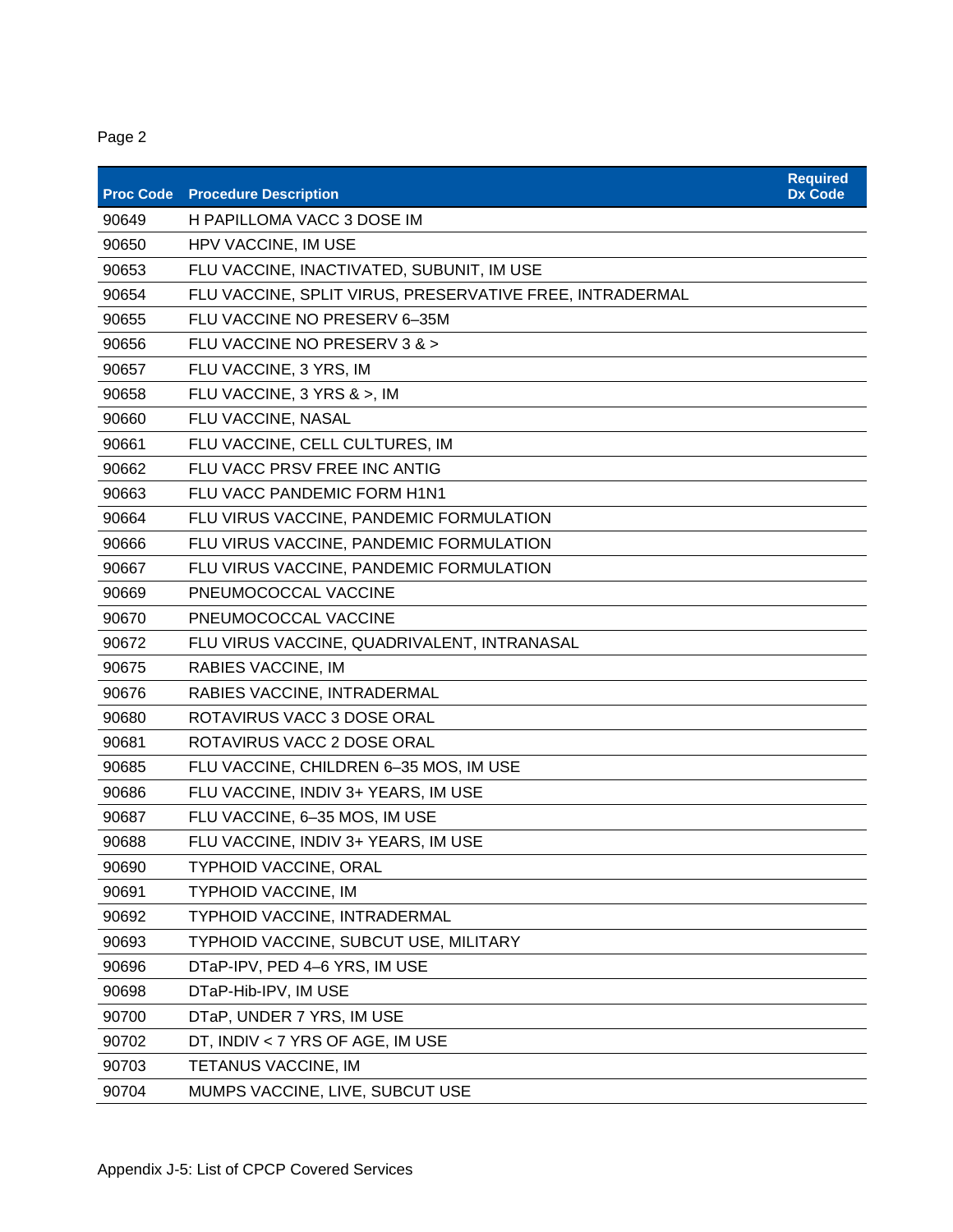| <b>Proc Code</b> | <b>Procedure Description</b>                             | <b>Required</b><br><b>Dx Code</b> |
|------------------|----------------------------------------------------------|-----------------------------------|
| 90649            | H PAPILLOMA VACC 3 DOSE IM                               |                                   |
| 90650            | HPV VACCINE, IM USE                                      |                                   |
| 90653            | FLU VACCINE, INACTIVATED, SUBUNIT, IM USE                |                                   |
| 90654            | FLU VACCINE, SPLIT VIRUS, PRESERVATIVE FREE, INTRADERMAL |                                   |
| 90655            | FLU VACCINE NO PRESERV 6-35M                             |                                   |
| 90656            | FLU VACCINE NO PRESERV 3 & >                             |                                   |
| 90657            | FLU VACCINE, 3 YRS, IM                                   |                                   |
| 90658            | FLU VACCINE, 3 YRS & >, IM                               |                                   |
| 90660            | FLU VACCINE, NASAL                                       |                                   |
| 90661            | FLU VACCINE, CELL CULTURES, IM                           |                                   |
| 90662            | FLU VACC PRSV FREE INC ANTIG                             |                                   |
| 90663            | FLU VACC PANDEMIC FORM H1N1                              |                                   |
| 90664            | FLU VIRUS VACCINE, PANDEMIC FORMULATION                  |                                   |
| 90666            | FLU VIRUS VACCINE, PANDEMIC FORMULATION                  |                                   |
| 90667            | FLU VIRUS VACCINE, PANDEMIC FORMULATION                  |                                   |
| 90669            | PNEUMOCOCCAL VACCINE                                     |                                   |
| 90670            | PNEUMOCOCCAL VACCINE                                     |                                   |
| 90672            | FLU VIRUS VACCINE, QUADRIVALENT, INTRANASAL              |                                   |
| 90675            | RABIES VACCINE, IM                                       |                                   |
| 90676            | RABIES VACCINE, INTRADERMAL                              |                                   |
| 90680            | ROTAVIRUS VACC 3 DOSE ORAL                               |                                   |
| 90681            | ROTAVIRUS VACC 2 DOSE ORAL                               |                                   |
| 90685            | FLU VACCINE, CHILDREN 6-35 MOS, IM USE                   |                                   |
| 90686            | FLU VACCINE, INDIV 3+ YEARS, IM USE                      |                                   |
| 90687            | FLU VACCINE, 6-35 MOS, IM USE                            |                                   |
| 90688            | FLU VACCINE, INDIV 3+ YEARS, IM USE                      |                                   |
| 90690            | <b>TYPHOID VACCINE, ORAL</b>                             |                                   |
| 90691            | <b>TYPHOID VACCINE, IM</b>                               |                                   |
| 90692            | <b>TYPHOID VACCINE, INTRADERMAL</b>                      |                                   |
| 90693            | <b>TYPHOID VACCINE, SUBCUT USE, MILITARY</b>             |                                   |
| 90696            | DTaP-IPV, PED 4-6 YRS, IM USE                            |                                   |
| 90698            | DTaP-Hib-IPV, IM USE                                     |                                   |
| 90700            | DTaP, UNDER 7 YRS, IM USE                                |                                   |
| 90702            | DT, INDIV < 7 YRS OF AGE, IM USE                         |                                   |
| 90703            | <b>TETANUS VACCINE, IM</b>                               |                                   |
| 90704            | MUMPS VACCINE, LIVE, SUBCUT USE                          |                                   |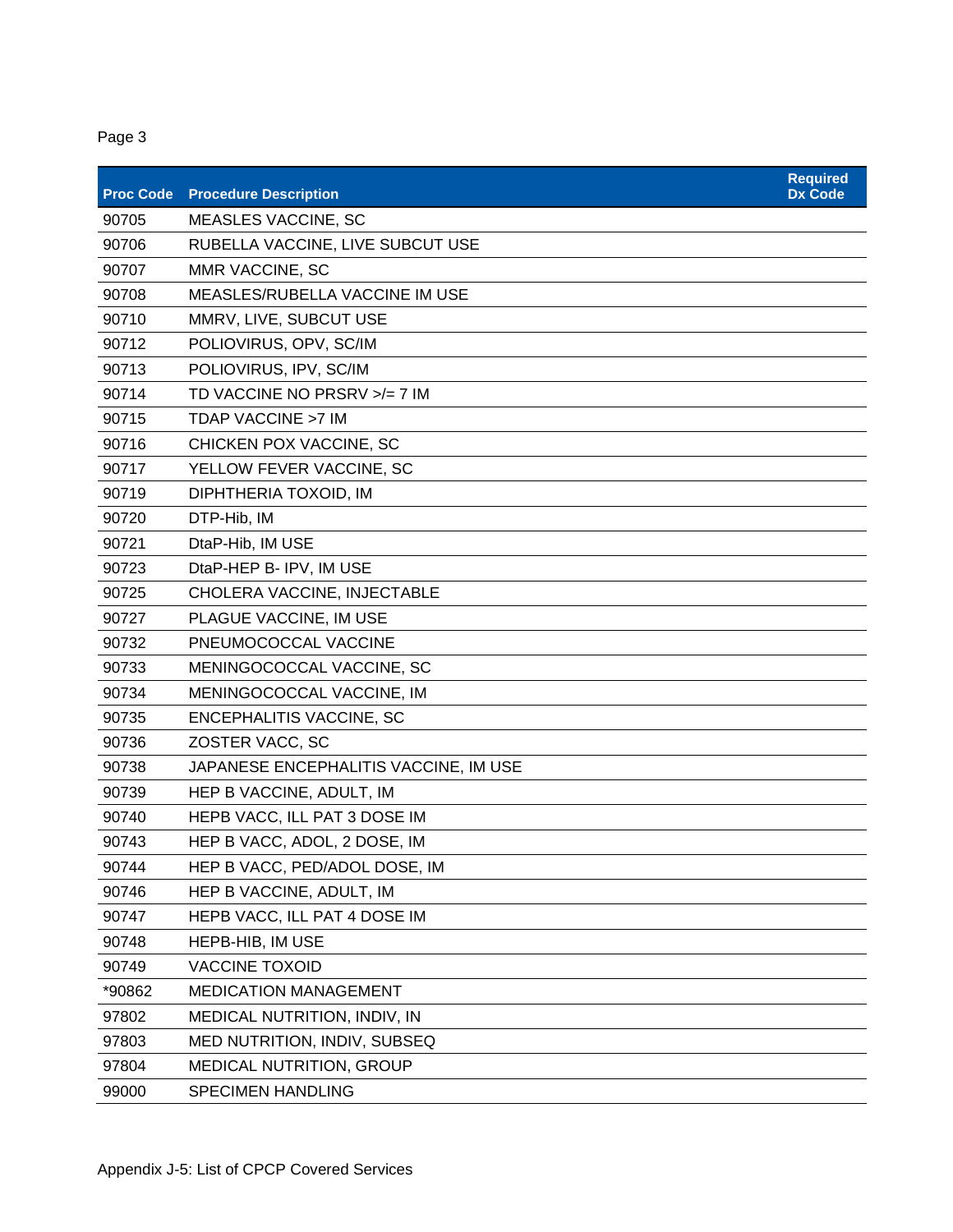| <b>Proc Code</b> | <b>Procedure Description</b>          | <b>Required</b><br><b>Dx Code</b> |
|------------------|---------------------------------------|-----------------------------------|
| 90705            | <b>MEASLES VACCINE, SC</b>            |                                   |
| 90706            | RUBELLA VACCINE, LIVE SUBCUT USE      |                                   |
| 90707            | MMR VACCINE, SC                       |                                   |
| 90708            | MEASLES/RUBELLA VACCINE IM USE        |                                   |
| 90710            | MMRV, LIVE, SUBCUT USE                |                                   |
| 90712            | POLIOVIRUS, OPV, SC/IM                |                                   |
| 90713            | POLIOVIRUS, IPV, SC/IM                |                                   |
| 90714            | TD VACCINE NO PRSRV >/= 7 IM          |                                   |
| 90715            | TDAP VACCINE >7 IM                    |                                   |
| 90716            | CHICKEN POX VACCINE, SC               |                                   |
| 90717            | YELLOW FEVER VACCINE, SC              |                                   |
| 90719            | DIPHTHERIA TOXOID, IM                 |                                   |
| 90720            | DTP-Hib, IM                           |                                   |
| 90721            | DtaP-Hib, IM USE                      |                                   |
| 90723            | DtaP-HEP B- IPV, IM USE               |                                   |
| 90725            | CHOLERA VACCINE, INJECTABLE           |                                   |
| 90727            | PLAGUE VACCINE, IM USE                |                                   |
| 90732            | PNEUMOCOCCAL VACCINE                  |                                   |
| 90733            | MENINGOCOCCAL VACCINE, SC             |                                   |
| 90734            | MENINGOCOCCAL VACCINE, IM             |                                   |
| 90735            | <b>ENCEPHALITIS VACCINE, SC</b>       |                                   |
| 90736            | ZOSTER VACC, SC                       |                                   |
| 90738            | JAPANESE ENCEPHALITIS VACCINE, IM USE |                                   |
| 90739            | HEP B VACCINE, ADULT, IM              |                                   |
| 90740            | HEPB VACC, ILL PAT 3 DOSE IM          |                                   |
| 90743            | HEP B VACC, ADOL, 2 DOSE, IM          |                                   |
| 90744            | HEP B VACC, PED/ADOL DOSE, IM         |                                   |
| 90746            | HEP B VACCINE, ADULT, IM              |                                   |
| 90747            | HEPB VACC, ILL PAT 4 DOSE IM          |                                   |
| 90748            | HEPB-HIB, IM USE                      |                                   |
| 90749            | <b>VACCINE TOXOID</b>                 |                                   |
| *90862           | <b>MEDICATION MANAGEMENT</b>          |                                   |
| 97802            | MEDICAL NUTRITION, INDIV, IN          |                                   |
| 97803            | MED NUTRITION, INDIV, SUBSEQ          |                                   |
| 97804            | <b>MEDICAL NUTRITION, GROUP</b>       |                                   |
| 99000            | <b>SPECIMEN HANDLING</b>              |                                   |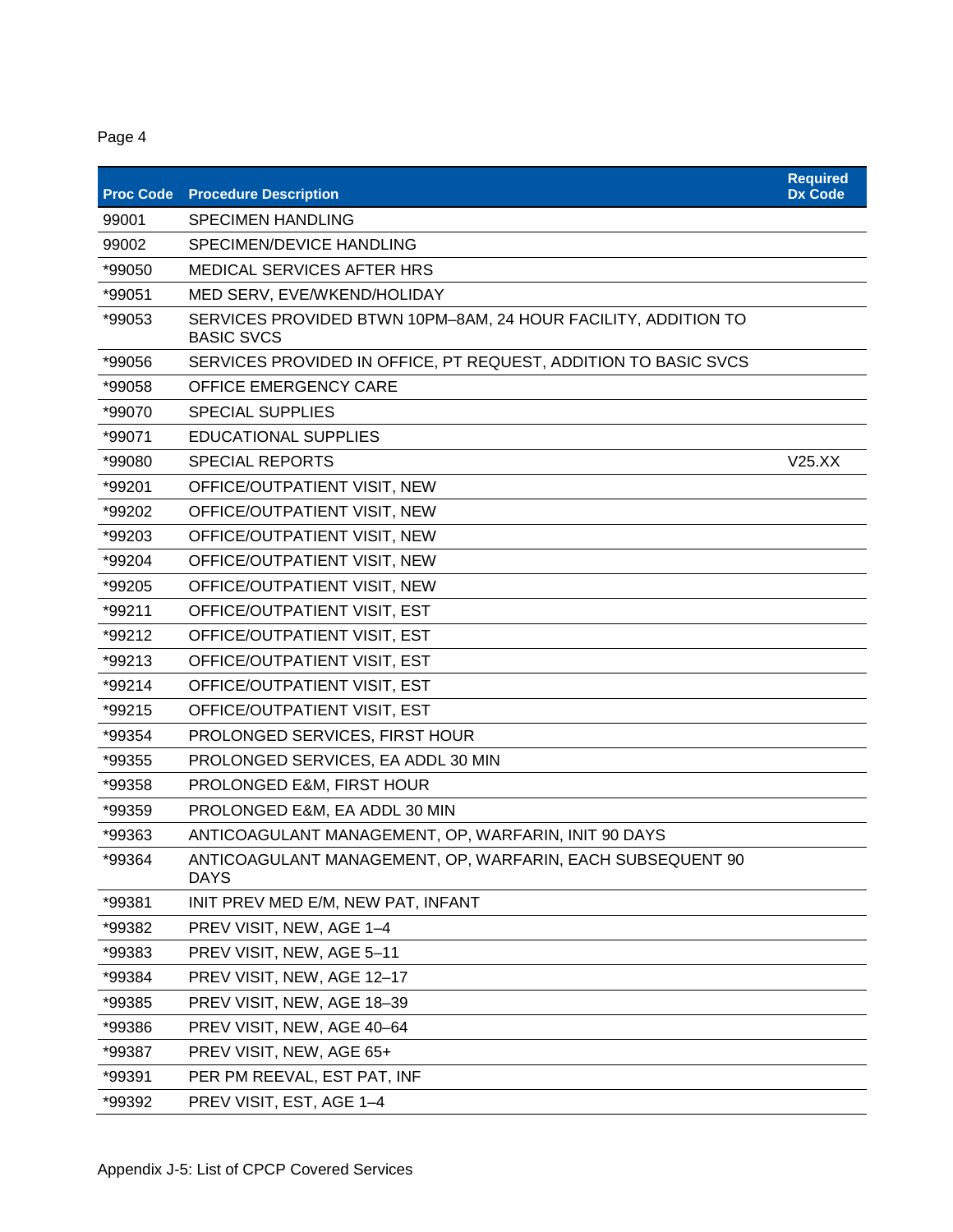| <b>Proc Code</b> | <b>Procedure Description</b>                                                        | <b>Required</b><br><b>Dx Code</b> |
|------------------|-------------------------------------------------------------------------------------|-----------------------------------|
| 99001            | <b>SPECIMEN HANDLING</b>                                                            |                                   |
| 99002            | SPECIMEN/DEVICE HANDLING                                                            |                                   |
| *99050           | <b>MEDICAL SERVICES AFTER HRS</b>                                                   |                                   |
| *99051           | MED SERV, EVE/WKEND/HOLIDAY                                                         |                                   |
| *99053           | SERVICES PROVIDED BTWN 10PM-8AM, 24 HOUR FACILITY, ADDITION TO<br><b>BASIC SVCS</b> |                                   |
| *99056           | SERVICES PROVIDED IN OFFICE, PT REQUEST, ADDITION TO BASIC SVCS                     |                                   |
| *99058           | <b>OFFICE EMERGENCY CARE</b>                                                        |                                   |
| *99070           | <b>SPECIAL SUPPLIES</b>                                                             |                                   |
| *99071           | <b>EDUCATIONAL SUPPLIES</b>                                                         |                                   |
| *99080           | <b>SPECIAL REPORTS</b>                                                              | V25.XX                            |
| *99201           | OFFICE/OUTPATIENT VISIT, NEW                                                        |                                   |
| *99202           | OFFICE/OUTPATIENT VISIT, NEW                                                        |                                   |
| *99203           | OFFICE/OUTPATIENT VISIT, NEW                                                        |                                   |
| *99204           | OFFICE/OUTPATIENT VISIT, NEW                                                        |                                   |
| *99205           | OFFICE/OUTPATIENT VISIT, NEW                                                        |                                   |
| *99211           | OFFICE/OUTPATIENT VISIT, EST                                                        |                                   |
| *99212           | OFFICE/OUTPATIENT VISIT, EST                                                        |                                   |
| *99213           | OFFICE/OUTPATIENT VISIT, EST                                                        |                                   |
| *99214           | OFFICE/OUTPATIENT VISIT, EST                                                        |                                   |
| *99215           | OFFICE/OUTPATIENT VISIT, EST                                                        |                                   |
| *99354           | PROLONGED SERVICES, FIRST HOUR                                                      |                                   |
| *99355           | PROLONGED SERVICES, EA ADDL 30 MIN                                                  |                                   |
| *99358           | PROLONGED E&M, FIRST HOUR                                                           |                                   |
| *99359           | PROLONGED E&M, EA ADDL 30 MIN                                                       |                                   |
| *99363           | ANTICOAGULANT MANAGEMENT, OP, WARFARIN, INIT 90 DAYS                                |                                   |
| *99364           | ANTICOAGULANT MANAGEMENT, OP, WARFARIN, EACH SUBSEQUENT 90<br><b>DAYS</b>           |                                   |
| *99381           | INIT PREV MED E/M, NEW PAT, INFANT                                                  |                                   |
| *99382           | PREV VISIT, NEW, AGE 1-4                                                            |                                   |
| *99383           | PREV VISIT, NEW, AGE 5-11                                                           |                                   |
| *99384           | PREV VISIT, NEW, AGE 12-17                                                          |                                   |
| *99385           | PREV VISIT, NEW, AGE 18-39                                                          |                                   |
| *99386           | PREV VISIT, NEW, AGE 40-64                                                          |                                   |
| *99387           | PREV VISIT, NEW, AGE 65+                                                            |                                   |
| *99391           | PER PM REEVAL, EST PAT, INF                                                         |                                   |
| *99392           | PREV VISIT, EST, AGE 1-4                                                            |                                   |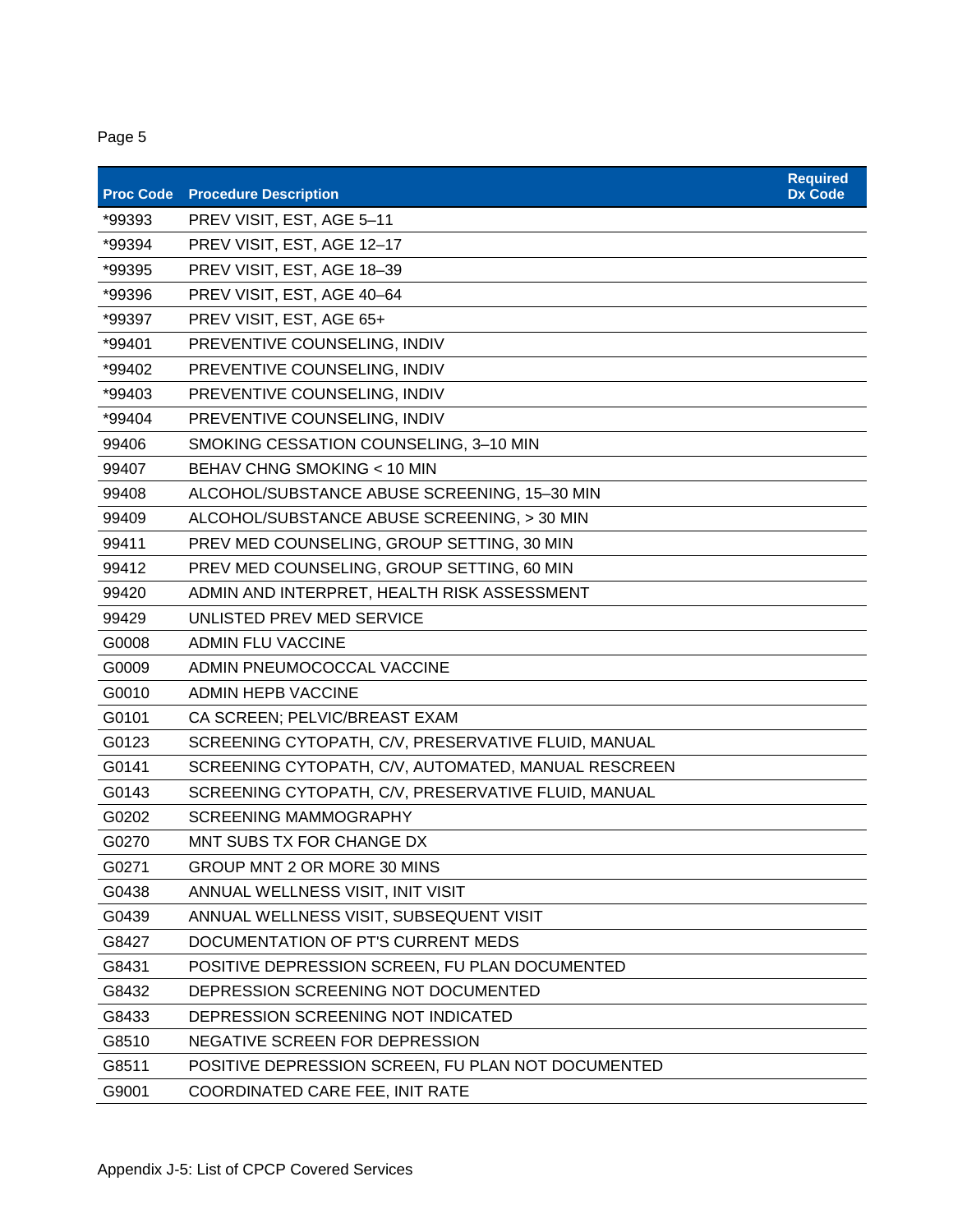| <b>Proc Code</b> | <b>Procedure Description</b>                        | <b>Required</b><br><b>Dx Code</b> |
|------------------|-----------------------------------------------------|-----------------------------------|
| *99393           | PREV VISIT, EST, AGE 5-11                           |                                   |
| *99394           | PREV VISIT, EST, AGE 12-17                          |                                   |
| *99395           | PREV VISIT, EST, AGE 18-39                          |                                   |
| *99396           | PREV VISIT, EST, AGE 40-64                          |                                   |
| *99397           | PREV VISIT, EST, AGE 65+                            |                                   |
| *99401           | PREVENTIVE COUNSELING, INDIV                        |                                   |
| *99402           | PREVENTIVE COUNSELING, INDIV                        |                                   |
| *99403           | PREVENTIVE COUNSELING, INDIV                        |                                   |
| *99404           | PREVENTIVE COUNSELING, INDIV                        |                                   |
| 99406            | SMOKING CESSATION COUNSELING, 3-10 MIN              |                                   |
| 99407            | BEHAV CHNG SMOKING < 10 MIN                         |                                   |
| 99408            | ALCOHOL/SUBSTANCE ABUSE SCREENING, 15-30 MIN        |                                   |
| 99409            | ALCOHOL/SUBSTANCE ABUSE SCREENING, > 30 MIN         |                                   |
| 99411            | PREV MED COUNSELING, GROUP SETTING, 30 MIN          |                                   |
| 99412            | PREV MED COUNSELING, GROUP SETTING, 60 MIN          |                                   |
| 99420            | ADMIN AND INTERPRET, HEALTH RISK ASSESSMENT         |                                   |
| 99429            | UNLISTED PREV MED SERVICE                           |                                   |
| G0008            | <b>ADMIN FLU VACCINE</b>                            |                                   |
| G0009            | ADMIN PNEUMOCOCCAL VACCINE                          |                                   |
| G0010            | <b>ADMIN HEPB VACCINE</b>                           |                                   |
| G0101            | CA SCREEN; PELVIC/BREAST EXAM                       |                                   |
| G0123            | SCREENING CYTOPATH, C/V, PRESERVATIVE FLUID, MANUAL |                                   |
| G0141            | SCREENING CYTOPATH, C/V, AUTOMATED, MANUAL RESCREEN |                                   |
| G0143            | SCREENING CYTOPATH, C/V, PRESERVATIVE FLUID, MANUAL |                                   |
| G0202            | <b>SCREENING MAMMOGRAPHY</b>                        |                                   |
| G0270            | MNT SUBS TX FOR CHANGE DX                           |                                   |
| G0271            | GROUP MNT 2 OR MORE 30 MINS                         |                                   |
| G0438            | ANNUAL WELLNESS VISIT, INIT VISIT                   |                                   |
| G0439            | ANNUAL WELLNESS VISIT, SUBSEQUENT VISIT             |                                   |
| G8427            | DOCUMENTATION OF PT'S CURRENT MEDS                  |                                   |
| G8431            | POSITIVE DEPRESSION SCREEN, FU PLAN DOCUMENTED      |                                   |
| G8432            | DEPRESSION SCREENING NOT DOCUMENTED                 |                                   |
| G8433            | DEPRESSION SCREENING NOT INDICATED                  |                                   |
| G8510            | NEGATIVE SCREEN FOR DEPRESSION                      |                                   |
| G8511            | POSITIVE DEPRESSION SCREEN, FU PLAN NOT DOCUMENTED  |                                   |
| G9001            | COORDINATED CARE FEE, INIT RATE                     |                                   |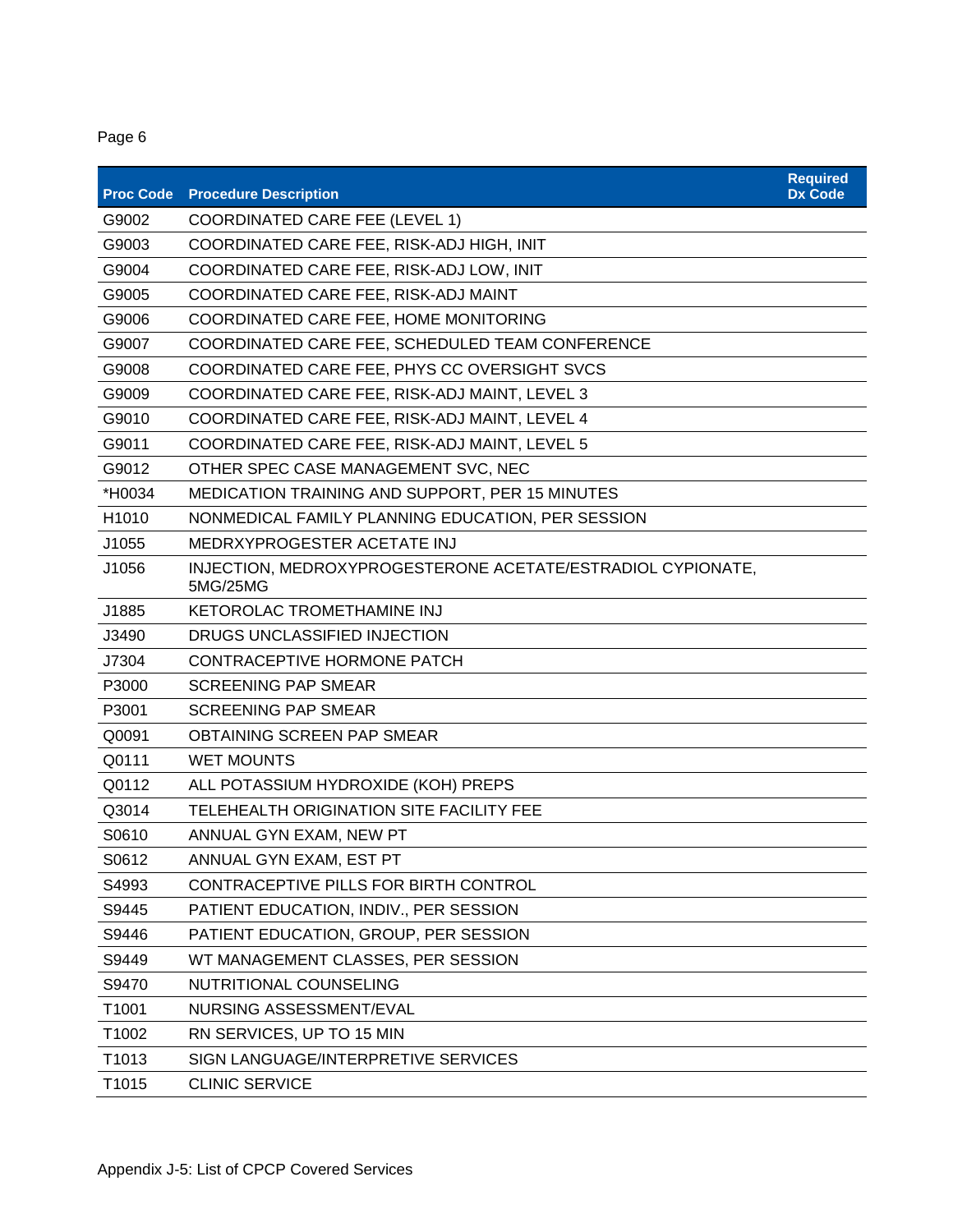| <b>Proc Code</b> | <b>Procedure Description</b>                                            | <b>Required</b><br><b>Dx Code</b> |
|------------------|-------------------------------------------------------------------------|-----------------------------------|
| G9002            | <b>COORDINATED CARE FEE (LEVEL 1)</b>                                   |                                   |
| G9003            | COORDINATED CARE FEE, RISK-ADJ HIGH, INIT                               |                                   |
| G9004            | COORDINATED CARE FEE, RISK-ADJ LOW, INIT                                |                                   |
| G9005            | COORDINATED CARE FEE, RISK-ADJ MAINT                                    |                                   |
| G9006            | COORDINATED CARE FEE, HOME MONITORING                                   |                                   |
| G9007            | COORDINATED CARE FEE, SCHEDULED TEAM CONFERENCE                         |                                   |
| G9008            | COORDINATED CARE FEE, PHYS CC OVERSIGHT SVCS                            |                                   |
| G9009            | COORDINATED CARE FEE, RISK-ADJ MAINT, LEVEL 3                           |                                   |
| G9010            | COORDINATED CARE FEE, RISK-ADJ MAINT, LEVEL 4                           |                                   |
| G9011            | COORDINATED CARE FEE, RISK-ADJ MAINT, LEVEL 5                           |                                   |
| G9012            | OTHER SPEC CASE MANAGEMENT SVC, NEC                                     |                                   |
| *H0034           | MEDICATION TRAINING AND SUPPORT, PER 15 MINUTES                         |                                   |
| H1010            | NONMEDICAL FAMILY PLANNING EDUCATION, PER SESSION                       |                                   |
| J1055            | MEDRXYPROGESTER ACETATE INJ                                             |                                   |
| J1056            | INJECTION, MEDROXYPROGESTERONE ACETATE/ESTRADIOL CYPIONATE,<br>5MG/25MG |                                   |
| J1885            | KETOROLAC TROMETHAMINE INJ                                              |                                   |
| J3490            | DRUGS UNCLASSIFIED INJECTION                                            |                                   |
| J7304            | CONTRACEPTIVE HORMONE PATCH                                             |                                   |
| P3000            | <b>SCREENING PAP SMEAR</b>                                              |                                   |
| P3001            | <b>SCREENING PAP SMEAR</b>                                              |                                   |
| Q0091            | <b>OBTAINING SCREEN PAP SMEAR</b>                                       |                                   |
| Q0111            | <b>WET MOUNTS</b>                                                       |                                   |
| Q0112            | ALL POTASSIUM HYDROXIDE (KOH) PREPS                                     |                                   |
| Q3014            | TELEHEALTH ORIGINATION SITE FACILITY FEE                                |                                   |
| S0610            | ANNUAL GYN EXAM, NEW PT                                                 |                                   |
| S0612            | ANNUAL GYN EXAM, EST PT                                                 |                                   |
| S4993            | CONTRACEPTIVE PILLS FOR BIRTH CONTROL                                   |                                   |
| S9445            | PATIENT EDUCATION, INDIV., PER SESSION                                  |                                   |
| S9446            | PATIENT EDUCATION, GROUP, PER SESSION                                   |                                   |
| S9449            | WT MANAGEMENT CLASSES, PER SESSION                                      |                                   |
| S9470            | NUTRITIONAL COUNSELING                                                  |                                   |
| T1001            | NURSING ASSESSMENT/EVAL                                                 |                                   |
| T1002            | RN SERVICES, UP TO 15 MIN                                               |                                   |
| T1013            | SIGN LANGUAGE/INTERPRETIVE SERVICES                                     |                                   |
| T1015            | <b>CLINIC SERVICE</b>                                                   |                                   |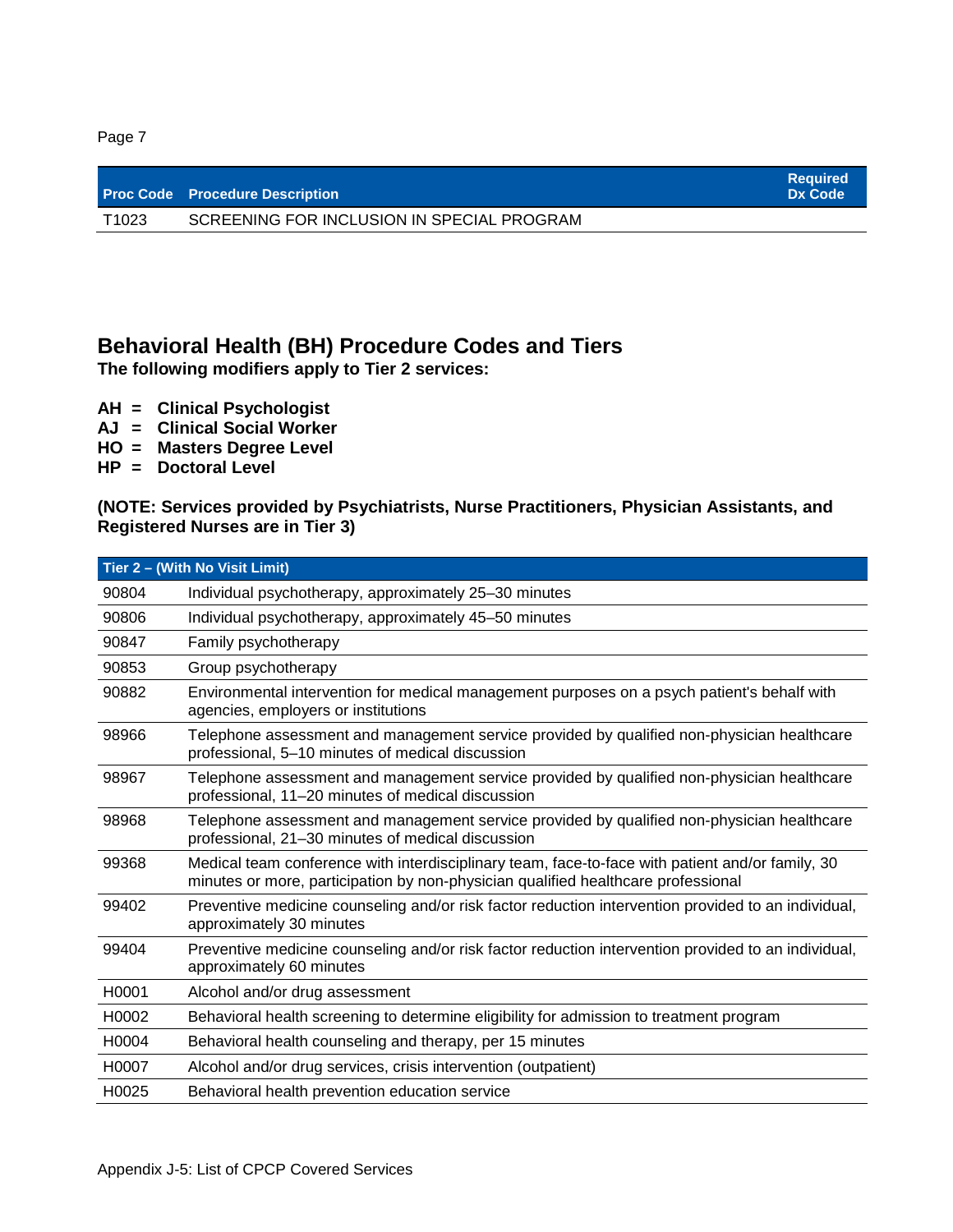|                   | <b>Proc Code</b> Procedure Description     | <b>Required</b><br>Dx Code |
|-------------------|--------------------------------------------|----------------------------|
| T <sub>1023</sub> | SCREENING FOR INCLUSION IN SPECIAL PROGRAM |                            |

# **Behavioral Health (BH) Procedure Codes and Tiers**

**The following modifiers apply to Tier 2 services:**

- **AH = Clinical Psychologist**
- **AJ = Clinical Social Worker**
- **HO = Masters Degree Level**
- **HP = Doctoral Level**

**(NOTE: Services provided by Psychiatrists, Nurse Practitioners, Physician Assistants, and Registered Nurses are in Tier 3)** 

|       | Tier 2 - (With No Visit Limit)                                                                                                                                                        |
|-------|---------------------------------------------------------------------------------------------------------------------------------------------------------------------------------------|
| 90804 | Individual psychotherapy, approximately 25-30 minutes                                                                                                                                 |
| 90806 | Individual psychotherapy, approximately 45-50 minutes                                                                                                                                 |
| 90847 | Family psychotherapy                                                                                                                                                                  |
| 90853 | Group psychotherapy                                                                                                                                                                   |
| 90882 | Environmental intervention for medical management purposes on a psych patient's behalf with<br>agencies, employers or institutions                                                    |
| 98966 | Telephone assessment and management service provided by qualified non-physician healthcare<br>professional, 5-10 minutes of medical discussion                                        |
| 98967 | Telephone assessment and management service provided by qualified non-physician healthcare<br>professional, 11-20 minutes of medical discussion                                       |
| 98968 | Telephone assessment and management service provided by qualified non-physician healthcare<br>professional, 21-30 minutes of medical discussion                                       |
| 99368 | Medical team conference with interdisciplinary team, face-to-face with patient and/or family, 30<br>minutes or more, participation by non-physician qualified healthcare professional |
| 99402 | Preventive medicine counseling and/or risk factor reduction intervention provided to an individual,<br>approximately 30 minutes                                                       |
| 99404 | Preventive medicine counseling and/or risk factor reduction intervention provided to an individual,<br>approximately 60 minutes                                                       |
| H0001 | Alcohol and/or drug assessment                                                                                                                                                        |
| H0002 | Behavioral health screening to determine eligibility for admission to treatment program                                                                                               |
| H0004 | Behavioral health counseling and therapy, per 15 minutes                                                                                                                              |
| H0007 | Alcohol and/or drug services, crisis intervention (outpatient)                                                                                                                        |
| H0025 | Behavioral health prevention education service                                                                                                                                        |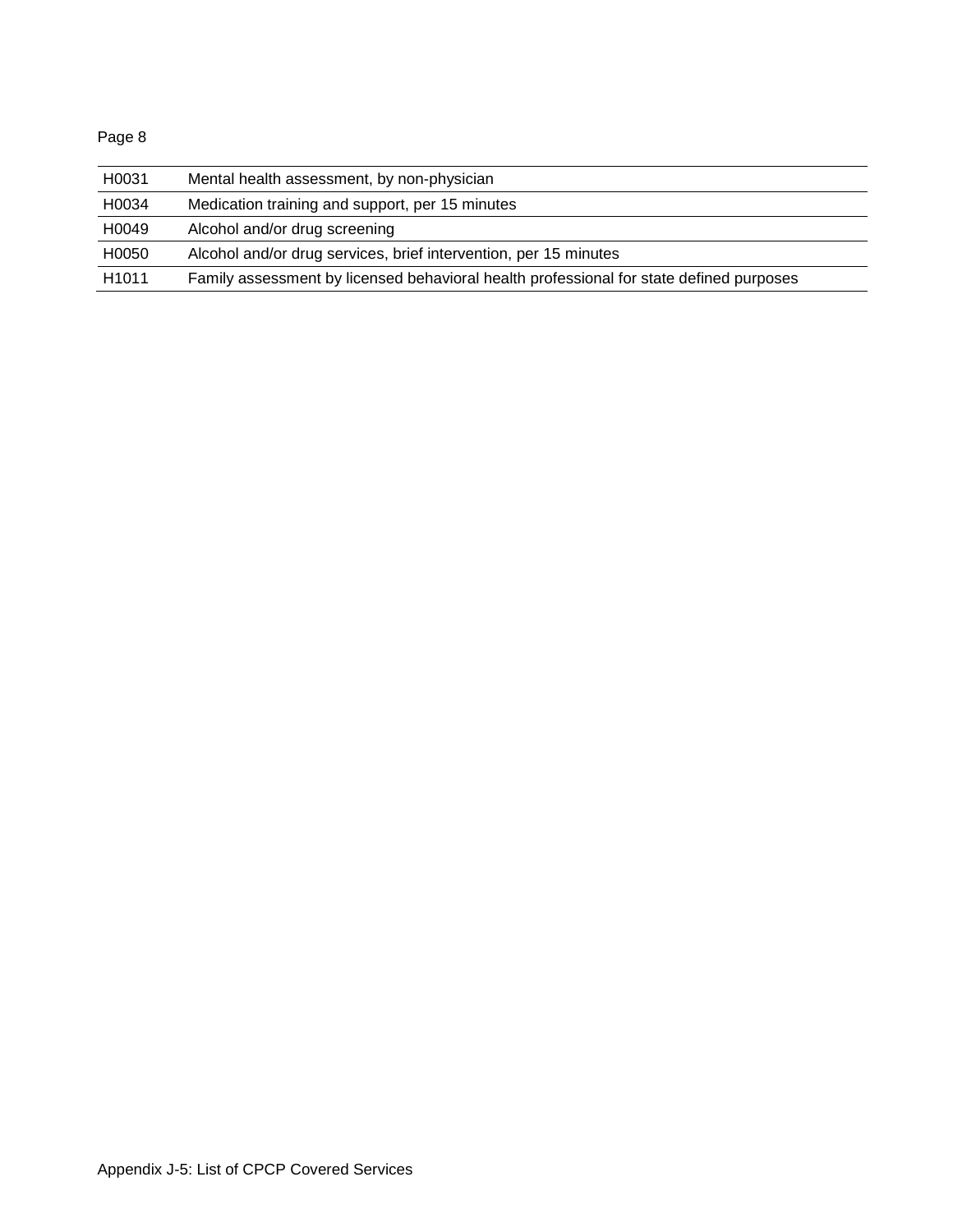| H0031             | Mental health assessment, by non-physician                                              |
|-------------------|-----------------------------------------------------------------------------------------|
| H0034             | Medication training and support, per 15 minutes                                         |
| H0049             | Alcohol and/or drug screening                                                           |
| H0050             | Alcohol and/or drug services, brief intervention, per 15 minutes                        |
| H <sub>1011</sub> | Family assessment by licensed behavioral health professional for state defined purposes |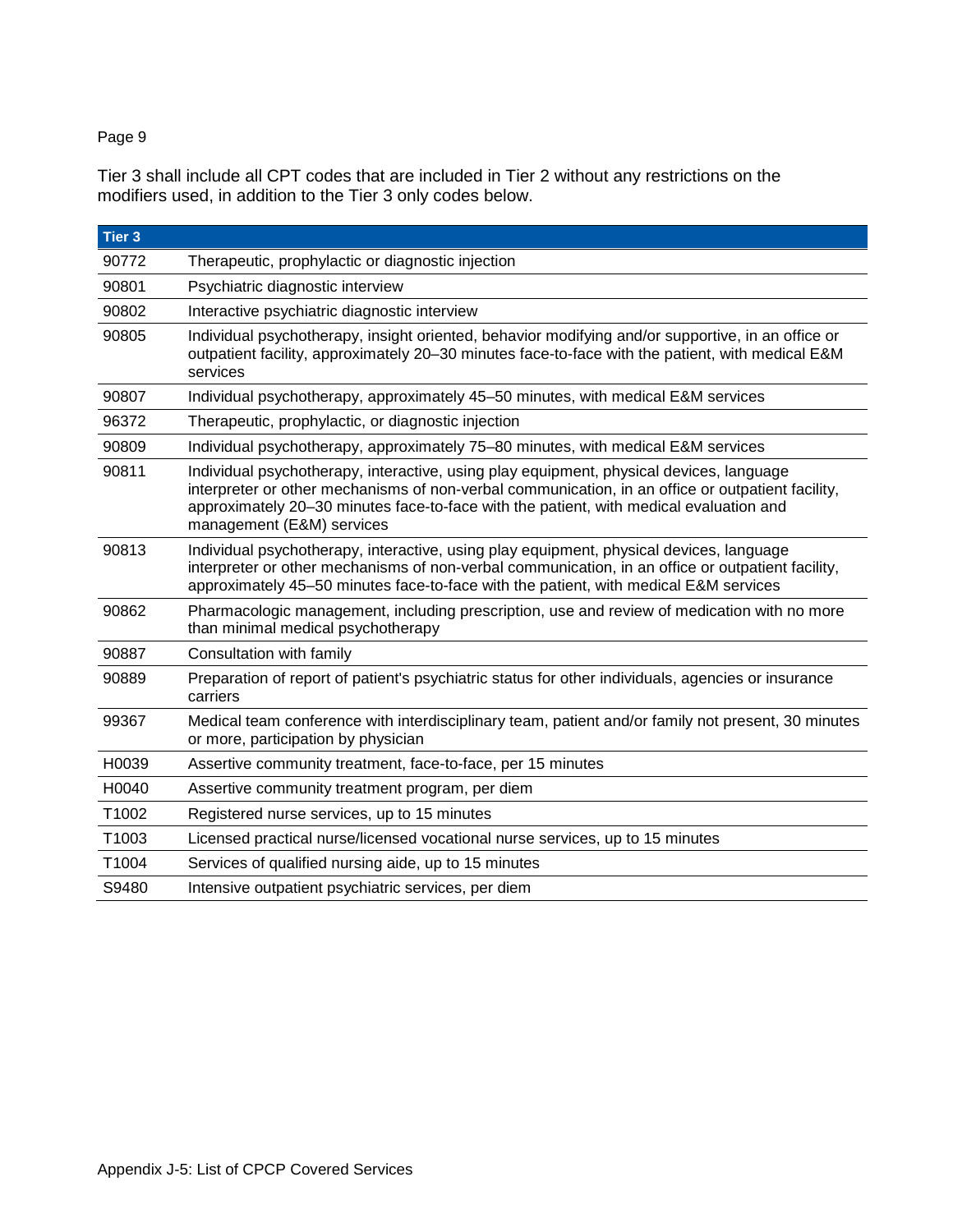Tier 3 shall include all CPT codes that are included in Tier 2 without any restrictions on the modifiers used, in addition to the Tier 3 only codes below.

| Tier 3 |                                                                                                                                                                                                                                                                                                                     |
|--------|---------------------------------------------------------------------------------------------------------------------------------------------------------------------------------------------------------------------------------------------------------------------------------------------------------------------|
| 90772  | Therapeutic, prophylactic or diagnostic injection                                                                                                                                                                                                                                                                   |
| 90801  | Psychiatric diagnostic interview                                                                                                                                                                                                                                                                                    |
| 90802  | Interactive psychiatric diagnostic interview                                                                                                                                                                                                                                                                        |
| 90805  | Individual psychotherapy, insight oriented, behavior modifying and/or supportive, in an office or<br>outpatient facility, approximately 20-30 minutes face-to-face with the patient, with medical E&M<br>services                                                                                                   |
| 90807  | Individual psychotherapy, approximately 45-50 minutes, with medical E&M services                                                                                                                                                                                                                                    |
| 96372  | Therapeutic, prophylactic, or diagnostic injection                                                                                                                                                                                                                                                                  |
| 90809  | Individual psychotherapy, approximately 75-80 minutes, with medical E&M services                                                                                                                                                                                                                                    |
| 90811  | Individual psychotherapy, interactive, using play equipment, physical devices, language<br>interpreter or other mechanisms of non-verbal communication, in an office or outpatient facility,<br>approximately 20-30 minutes face-to-face with the patient, with medical evaluation and<br>management (E&M) services |
| 90813  | Individual psychotherapy, interactive, using play equipment, physical devices, language<br>interpreter or other mechanisms of non-verbal communication, in an office or outpatient facility,<br>approximately 45-50 minutes face-to-face with the patient, with medical E&M services                                |
| 90862  | Pharmacologic management, including prescription, use and review of medication with no more<br>than minimal medical psychotherapy                                                                                                                                                                                   |
| 90887  | Consultation with family                                                                                                                                                                                                                                                                                            |
| 90889  | Preparation of report of patient's psychiatric status for other individuals, agencies or insurance<br>carriers                                                                                                                                                                                                      |
| 99367  | Medical team conference with interdisciplinary team, patient and/or family not present, 30 minutes<br>or more, participation by physician                                                                                                                                                                           |
| H0039  | Assertive community treatment, face-to-face, per 15 minutes                                                                                                                                                                                                                                                         |
| H0040  | Assertive community treatment program, per diem                                                                                                                                                                                                                                                                     |
| T1002  | Registered nurse services, up to 15 minutes                                                                                                                                                                                                                                                                         |
| T1003  | Licensed practical nurse/licensed vocational nurse services, up to 15 minutes                                                                                                                                                                                                                                       |
| T1004  | Services of qualified nursing aide, up to 15 minutes                                                                                                                                                                                                                                                                |
| S9480  | Intensive outpatient psychiatric services, per diem                                                                                                                                                                                                                                                                 |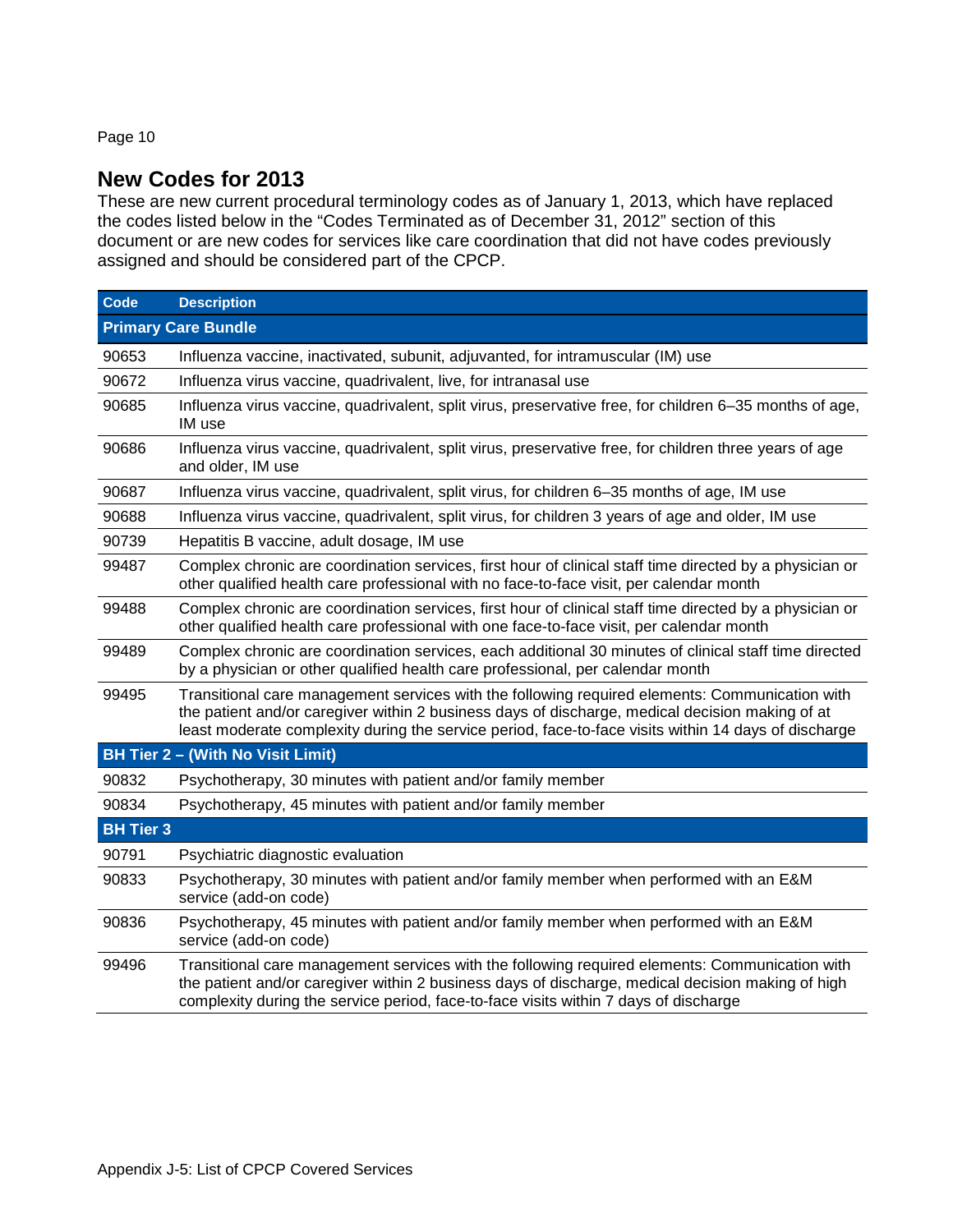## **New Codes for 2013**

These are new current procedural terminology codes as of January 1, 2013, which have replaced the codes listed below in the "Codes Terminated as of December 31, 2012" section of this document or are new codes for services like care coordination that did not have codes previously assigned and should be considered part of the CPCP.

| <b>Code</b>      | <b>Description</b>                                                                                                                                                                                                                                                                                        |
|------------------|-----------------------------------------------------------------------------------------------------------------------------------------------------------------------------------------------------------------------------------------------------------------------------------------------------------|
|                  | <b>Primary Care Bundle</b>                                                                                                                                                                                                                                                                                |
| 90653            | Influenza vaccine, inactivated, subunit, adjuvanted, for intramuscular (IM) use                                                                                                                                                                                                                           |
| 90672            | Influenza virus vaccine, quadrivalent, live, for intranasal use                                                                                                                                                                                                                                           |
| 90685            | Influenza virus vaccine, quadrivalent, split virus, preservative free, for children 6–35 months of age,<br>IM use                                                                                                                                                                                         |
| 90686            | Influenza virus vaccine, quadrivalent, split virus, preservative free, for children three years of age<br>and older, IM use                                                                                                                                                                               |
| 90687            | Influenza virus vaccine, quadrivalent, split virus, for children 6-35 months of age, IM use                                                                                                                                                                                                               |
| 90688            | Influenza virus vaccine, quadrivalent, split virus, for children 3 years of age and older, IM use                                                                                                                                                                                                         |
| 90739            | Hepatitis B vaccine, adult dosage, IM use                                                                                                                                                                                                                                                                 |
| 99487            | Complex chronic are coordination services, first hour of clinical staff time directed by a physician or<br>other qualified health care professional with no face-to-face visit, per calendar month                                                                                                        |
| 99488            | Complex chronic are coordination services, first hour of clinical staff time directed by a physician or<br>other qualified health care professional with one face-to-face visit, per calendar month                                                                                                       |
| 99489            | Complex chronic are coordination services, each additional 30 minutes of clinical staff time directed<br>by a physician or other qualified health care professional, per calendar month                                                                                                                   |
| 99495            | Transitional care management services with the following required elements: Communication with<br>the patient and/or caregiver within 2 business days of discharge, medical decision making of at<br>least moderate complexity during the service period, face-to-face visits within 14 days of discharge |
|                  | BH Tier 2 - (With No Visit Limit)                                                                                                                                                                                                                                                                         |
| 90832            | Psychotherapy, 30 minutes with patient and/or family member                                                                                                                                                                                                                                               |
| 90834            | Psychotherapy, 45 minutes with patient and/or family member                                                                                                                                                                                                                                               |
| <b>BH Tier 3</b> |                                                                                                                                                                                                                                                                                                           |
| 90791            | Psychiatric diagnostic evaluation                                                                                                                                                                                                                                                                         |
| 90833            | Psychotherapy, 30 minutes with patient and/or family member when performed with an E&M<br>service (add-on code)                                                                                                                                                                                           |
| 90836            | Psychotherapy, 45 minutes with patient and/or family member when performed with an E&M<br>service (add-on code)                                                                                                                                                                                           |
| 99496            | Transitional care management services with the following required elements: Communication with<br>the patient and/or caregiver within 2 business days of discharge, medical decision making of high<br>complexity during the service period, face-to-face visits within 7 days of discharge               |